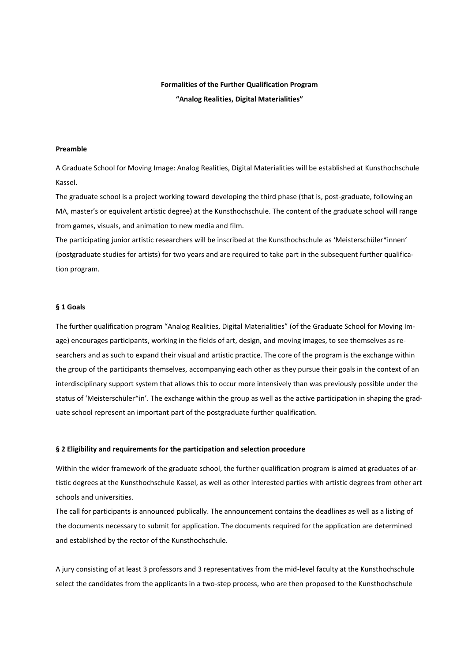# **Formalities of the Further Qualification Program**

**"Analog Realities, Digital Materialities"**

### **Preamble**

A Graduate School for Moving Image: Analog Realities, Digital Materialities will be established at Kunsthochschule Kassel.

The graduate school is a project working toward developing the third phase (that is, post-graduate, following an MA, master's or equivalent artistic degree) at the Kunsthochschule. The content of the graduate school will range from games, visuals, and animation to new media and film.

The participating junior artistic researchers will be inscribed at the Kunsthochschule as 'Meisterschüler\*innen' (postgraduate studies for artists) for two years and are required to take part in the subsequent further qualification program.

# **§ 1 Goals**

The further qualification program "Analog Realities, Digital Materialities" (of the Graduate School for Moving Image) encourages participants, working in the fields of art, design, and moving images, to see themselves as researchers and as such to expand their visual and artistic practice. The core of the program is the exchange within the group of the participants themselves, accompanying each other as they pursue their goals in the context of an interdisciplinary support system that allows this to occur more intensively than was previously possible under the status of 'Meisterschüler\*in'. The exchange within the group as well as the active participation in shaping the graduate school represent an important part of the postgraduate further qualification.

## **§ 2 Eligibility and requirements for the participation and selection procedure**

Within the wider framework of the graduate school, the further qualification program is aimed at graduates of artistic degrees at the Kunsthochschule Kassel, as well as other interested parties with artistic degrees from other art schools and universities.

The call for participants is announced publically. The announcement contains the deadlines as well as a listing of the documents necessary to submit for application. The documents required for the application are determined and established by the rector of the Kunsthochschule.

A jury consisting of at least 3 professors and 3 representatives from the mid-level faculty at the Kunsthochschule select the candidates from the applicants in a two-step process, who are then proposed to the Kunsthochschule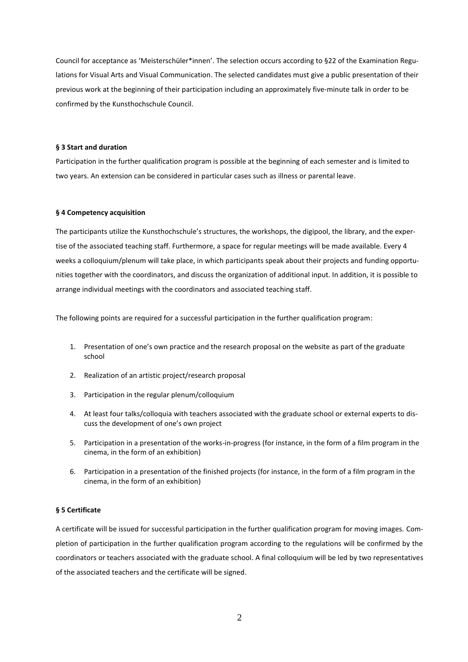Council for acceptance as 'Meisterschüler\*innen'. The selection occurs according to §22 of the Examination Regulations for Visual Arts and Visual Communication. The selected candidates must give a public presentation of their previous work at the beginning of their participation including an approximately five-minute talk in order to be confirmed by the Kunsthochschule Council.

#### **§ 3 Start and duration**

Participation in the further qualification program is possible at the beginning of each semester and is limited to two years. An extension can be considered in particular cases such as illness or parental leave.

#### **§ 4 Competency acquisition**

The participants utilize the Kunsthochschule's structures, the workshops, the digipool, the library, and the expertise of the associated teaching staff. Furthermore, a space for regular meetings will be made available. Every 4 weeks a colloquium/plenum will take place, in which participants speak about their projects and funding opportunities together with the coordinators, and discuss the organization of additional input. In addition, it is possible to arrange individual meetings with the coordinators and associated teaching staff.

The following points are required for a successful participation in the further qualification program:

- 1. Presentation of one's own practice and the research proposal on the website as part of the graduate school
- 2. Realization of an artistic project/research proposal
- 3. Participation in the regular plenum/colloquium
- 4. At least four talks/colloquia with teachers associated with the graduate school or external experts to discuss the development of one's own project
- 5. Participation in a presentation of the works-in-progress (for instance, in the form of a film program in the cinema, in the form of an exhibition)
- 6. Participation in a presentation of the finished projects (for instance, in the form of a film program in the cinema, in the form of an exhibition)

#### **§ 5 Certificate**

A certificate will be issued for successful participation in the further qualification program for moving images. Completion of participation in the further qualification program according to the regulations will be confirmed by the coordinators or teachers associated with the graduate school. A final colloquium will be led by two representatives of the associated teachers and the certificate will be signed.